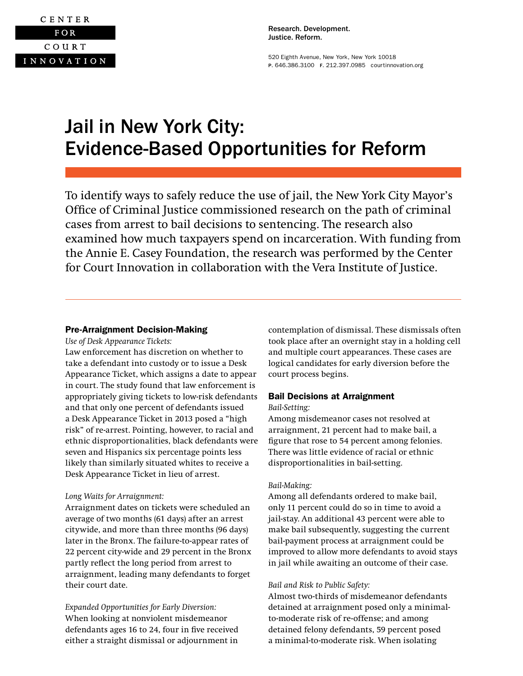

Research. Development. Justice. Reform.

520 Eighth Avenue, New York, New York 10018 P. 646.386.3100 F. 212.397.0985 [courtinnovation.org](http://www.courtinnovation.org)

# Jail in New York City: Evidence-Based Opportunities for Reform

To identify ways to safely reduce the use of jail, the New York City Mayor's Office of Criminal Justice commissioned research on the path of criminal cases from arrest to bail decisions to sentencing. The research also examined how much taxpayers spend on incarceration. With funding from the Annie E. Casey Foundation, the research was performed by the Center for Court Innovation in collaboration with the Vera Institute of Justice.

## Pre-Arraignment Decision-Making

*Use of Desk Appearance Tickets:* 

Law enforcement has discretion on whether to take a defendant into custody or to issue a Desk Appearance Ticket, which assigns a date to appear in court. The study found that law enforcement is appropriately giving tickets to low-risk defendants and that only one percent of defendants issued a Desk Appearance Ticket in 2013 posed a "high risk" of re-arrest. Pointing, however, to racial and ethnic disproportionalities, black defendants were seven and Hispanics six percentage points less likely than similarly situated whites to receive a Desk Appearance Ticket in lieu of arrest.

## *Long Waits for Arraignment:*

Arraignment dates on tickets were scheduled an average of two months (61 days) after an arrest citywide, and more than three months (96 days) later in the Bronx. The failure-to-appear rates of 22 percent city-wide and 29 percent in the Bronx partly reflect the long period from arrest to arraignment, leading many defendants to forget their court date.

*Expanded Opportunities for Early Diversion:* When looking at nonviolent misdemeanor defendants ages 16 to 24, four in five received either a straight dismissal or adjournment in

contemplation of dismissal. These dismissals often took place after an overnight stay in a holding cell and multiple court appearances. These cases are logical candidates for early diversion before the court process begins.

## Bail Decisions at Arraignment

#### *Bail-Setting:*

Among misdemeanor cases not resolved at arraignment, 21 percent had to make bail, a figure that rose to 54 percent among felonies. There was little evidence of racial or ethnic disproportionalities in bail-setting.

## *Bail-Making:*

Among all defendants ordered to make bail, only 11 percent could do so in time to avoid a jail-stay. An additional 43 percent were able to make bail subsequently, suggesting the current bail-payment process at arraignment could be improved to allow more defendants to avoid stays in jail while awaiting an outcome of their case.

## *Bail and Risk to Public Safety:*

Almost two-thirds of misdemeanor defendants detained at arraignment posed only a minimalto-moderate risk of re-offense; and among detained felony defendants, 59 percent posed a minimal-to-moderate risk. When isolating